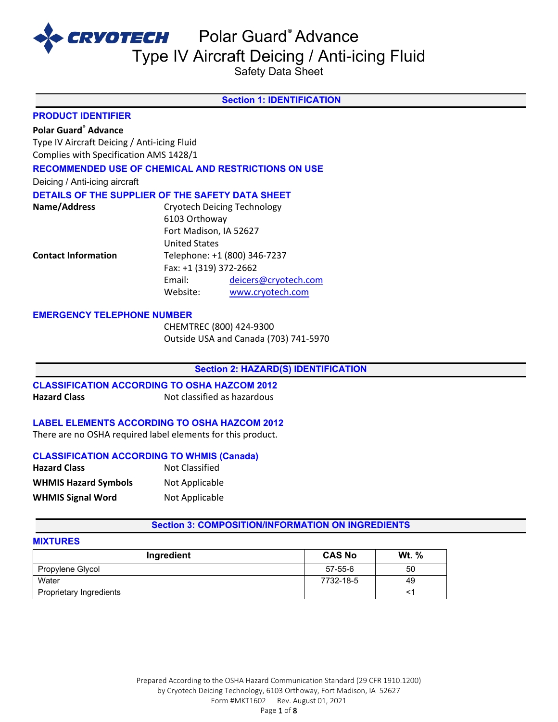

Safety Data Sheet

# **Section 1: IDENTIFICATION**

#### **PRODUCT IDENTIFIER**

## **Polar Guard® Advance**

Type IV Aircraft Deicing / Anti-icing Fluid Complies with Specification AMS 1428/1

## **RECOMMENDED USE OF CHEMICAL AND RESTRICTIONS ON USE**

Deicing / Anti-icing aircraft

#### **DETAILS OF THE SUPPLIER OF THE SAFETY DATA SHEET**

| Name/Address               |                        | <b>Cryotech Deicing Technology</b> |
|----------------------------|------------------------|------------------------------------|
|                            | 6103 Orthoway          |                                    |
|                            | Fort Madison, IA 52627 |                                    |
|                            | <b>United States</b>   |                                    |
| <b>Contact Information</b> |                        | Telephone: +1 (800) 346-7237       |
|                            | Fax: +1 (319) 372-2662 |                                    |
|                            | Email:                 | deicers@cryotech.com               |
|                            | Website:               | www.cryotech.com                   |

#### **EMERGENCY TELEPHONE NUMBER**

CHEMTREC (800) 424-9300 Outside USA and Canada (703) 741-5970

#### **Section 2: HAZARD(S) IDENTIFICATION**

**CLASSIFICATION ACCORDING TO OSHA HAZCOM 2012 Hazard Class Not classified as hazardous** 

#### **LABEL ELEMENTS ACCORDING TO OSHA HAZCOM 2012**

There are no OSHA required label elements for this product.

#### **CLASSIFICATION ACCORDING TO WHMIS (Canada)**

| <b>Hazard Class</b>         | Not Classified |
|-----------------------------|----------------|
| <b>WHMIS Hazard Symbols</b> | Not Applicable |
| <b>WHMIS Signal Word</b>    | Not Applicable |

#### **Section 3: COMPOSITION/INFORMATION ON INGREDIENTS**

## **MIXTURES**

| Ingredient              | <b>CAS No</b> | <b>Wt.</b> % |
|-------------------------|---------------|--------------|
| Propylene Glycol        | $57 - 55 - 6$ | 50           |
| Water                   | 7732-18-5     | 49           |
| Proprietary Ingredients |               |              |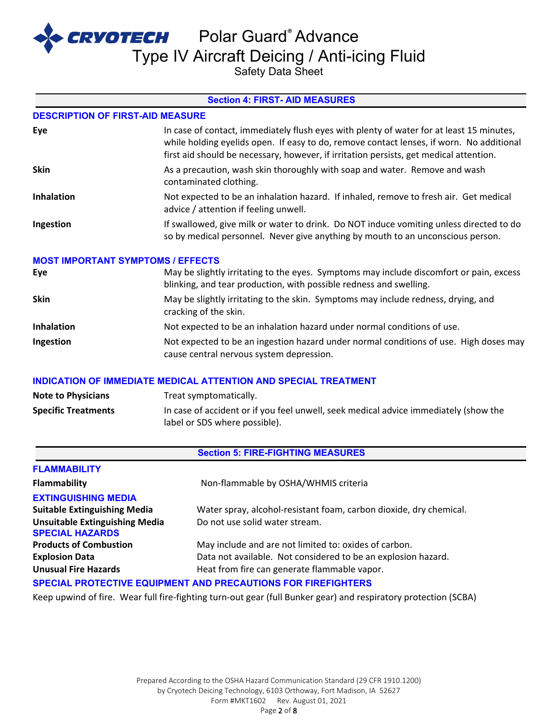**CRYOTECH** Polar Guard® Advance

Type IV Aircraft Deicing / Anti-icing Fluid

Safety Data Sheet

## **Section 4: FIRST- AID MEASURES**

#### **DESCRIPTION OF FIRST-AID MEASURE**

| Eye               | In case of contact, immediately flush eyes with plenty of water for at least 15 minutes,<br>while holding eyelids open. If easy to do, remove contact lenses, if worn. No additional<br>first aid should be necessary, however, if irritation persists, get medical attention. |
|-------------------|--------------------------------------------------------------------------------------------------------------------------------------------------------------------------------------------------------------------------------------------------------------------------------|
| <b>Skin</b>       | As a precaution, wash skin thoroughly with soap and water. Remove and wash<br>contaminated clothing.                                                                                                                                                                           |
| <b>Inhalation</b> | Not expected to be an inhalation hazard. If inhaled, remove to fresh air. Get medical<br>advice / attention if feeling unwell.                                                                                                                                                 |
| Ingestion         | If swallowed, give milk or water to drink. Do NOT induce vomiting unless directed to do<br>so by medical personnel. Never give anything by mouth to an unconscious person.                                                                                                     |

#### **MOST IMPORTANT SYMPTOMS / EFFECTS**

| Eye         | May be slightly irritating to the eyes. Symptoms may include discomfort or pain, excess<br>blinking, and tear production, with possible redness and swelling. |
|-------------|---------------------------------------------------------------------------------------------------------------------------------------------------------------|
| <b>Skin</b> | May be slightly irritating to the skin. Symptoms may include redness, drying, and<br>cracking of the skin.                                                    |
| Inhalation  | Not expected to be an inhalation hazard under normal conditions of use.                                                                                       |
| Ingestion   | Not expected to be an ingestion hazard under normal conditions of use. High doses may<br>cause central nervous system depression.                             |

#### **INDICATION OF IMMEDIATE MEDICAL ATTENTION AND SPECIAL TREATMENT**

| <b>Note to Physicians</b>  | Treat symptomatically.                                                                                                |
|----------------------------|-----------------------------------------------------------------------------------------------------------------------|
| <b>Specific Treatments</b> | In case of accident or if you feel unwell, seek medical advice immediately (show the<br>label or SDS where possible). |

#### **Section 5: FIRE-FIGHTING MEASURES**

| <b>FLAMMABILITY</b>                                                  |                                                                    |  |
|----------------------------------------------------------------------|--------------------------------------------------------------------|--|
| Flammability                                                         | Non-flammable by OSHA/WHMIS criteria                               |  |
| <b>EXTINGUISHING MEDIA</b>                                           |                                                                    |  |
| <b>Suitable Extinguishing Media</b>                                  | Water spray, alcohol-resistant foam, carbon dioxide, dry chemical. |  |
| <b>Unsuitable Extinguishing Media</b>                                | Do not use solid water stream.                                     |  |
| <b>SPECIAL HAZARDS</b>                                               |                                                                    |  |
| <b>Products of Combustion</b>                                        | May include and are not limited to: oxides of carbon.              |  |
| <b>Explosion Data</b>                                                | Data not available. Not considered to be an explosion hazard.      |  |
| <b>Unusual Fire Hazards</b>                                          | Heat from fire can generate flammable vapor.                       |  |
| <b>SPECIAL PROTECTIVE EQUIPMENT AND PRECAUTIONS FOR FIREFIGHTERS</b> |                                                                    |  |

Keep upwind of fire. Wear full fire-fighting turn-out gear (full Bunker gear) and respiratory protection (SCBA)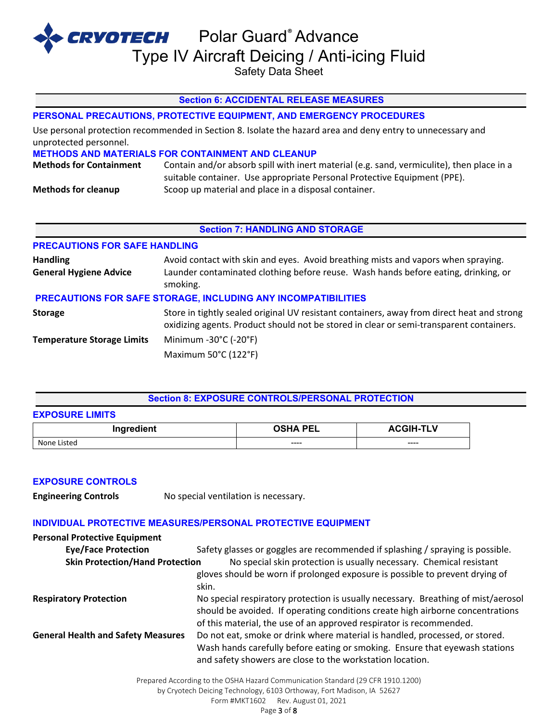Safety Data Sheet

## **Section 6: ACCIDENTAL RELEASE MEASURES**

## **PERSONAL PRECAUTIONS, PROTECTIVE EQUIPMENT, AND EMERGENCY PROCEDURES**

Use personal protection recommended in Section 8. Isolate the hazard area and deny entry to unnecessary and unprotected personnel.

#### **METHODS AND MATERIALS FOR CONTAINMENT AND CLEANUP**

**Methods for Containment** Contain and/or absorb spill with inert material (e.g. sand, vermiculite), then place in a suitable container. Use appropriate Personal Protective Equipment (PPE). **Methods for cleanup** Scoop up material and place in a disposal container.

#### **Section 7: HANDLING AND STORAGE**

| <b>PRECAUTIONS FOR SAFE HANDLING</b>             |                                                                                                                                                                                       |
|--------------------------------------------------|---------------------------------------------------------------------------------------------------------------------------------------------------------------------------------------|
| <b>Handling</b><br><b>General Hygiene Advice</b> | Avoid contact with skin and eyes. Avoid breathing mists and vapors when spraying.<br>Launder contaminated clothing before reuse. Wash hands before eating, drinking, or<br>smoking.   |
|                                                  | PRECAUTIONS FOR SAFE STORAGE, INCLUDING ANY INCOMPATIBILITIES                                                                                                                         |
| <b>Storage</b>                                   | Store in tightly sealed original UV resistant containers, away from direct heat and strong<br>oxidizing agents. Product should not be stored in clear or semi-transparent containers. |
| <b>Temperature Storage Limits</b>                | Minimum -30°C (-20°F)                                                                                                                                                                 |
|                                                  | Maximum 50°C (122°F)                                                                                                                                                                  |

#### **Section 8: EXPOSURE CONTROLS/PERSONAL PROTECTION**

| LAF VOUNL LIMITO |                 |                  |
|------------------|-----------------|------------------|
| Ingredient       | <b>OSHA PEL</b> | <b>ACGIH-TLV</b> |
| None Listed      | ----            | ----             |

#### **EXPOSURE CONTROLS**

**EXPOSURE LIMITS**

**Engineering Controls** No special ventilation is necessary.

### **INDIVIDUAL PROTECTIVE MEASURES/PERSONAL PROTECTIVE EQUIPMENT**

| <b>Personal Protective Equipment</b>      |                                                                                                                                                                                                                                            |
|-------------------------------------------|--------------------------------------------------------------------------------------------------------------------------------------------------------------------------------------------------------------------------------------------|
| <b>Eye/Face Protection</b>                | Safety glasses or goggles are recommended if splashing / spraying is possible.                                                                                                                                                             |
| <b>Skin Protection/Hand Protection</b>    | No special skin protection is usually necessary. Chemical resistant<br>gloves should be worn if prolonged exposure is possible to prevent drying of<br>skin.                                                                               |
| <b>Respiratory Protection</b>             | No special respiratory protection is usually necessary. Breathing of mist/aerosol<br>should be avoided. If operating conditions create high airborne concentrations<br>of this material, the use of an approved respirator is recommended. |
| <b>General Health and Safety Measures</b> | Do not eat, smoke or drink where material is handled, processed, or stored.<br>Wash hands carefully before eating or smoking. Ensure that eyewash stations<br>and safety showers are close to the workstation location.                    |

Prepared According to the OSHA Hazard Communication Standard (29 CFR 1910.1200) by Cryotech Deicing Technology, 6103 Orthoway, Fort Madison, IA 52627 Form #MKT1602 Rev. August 01, 2021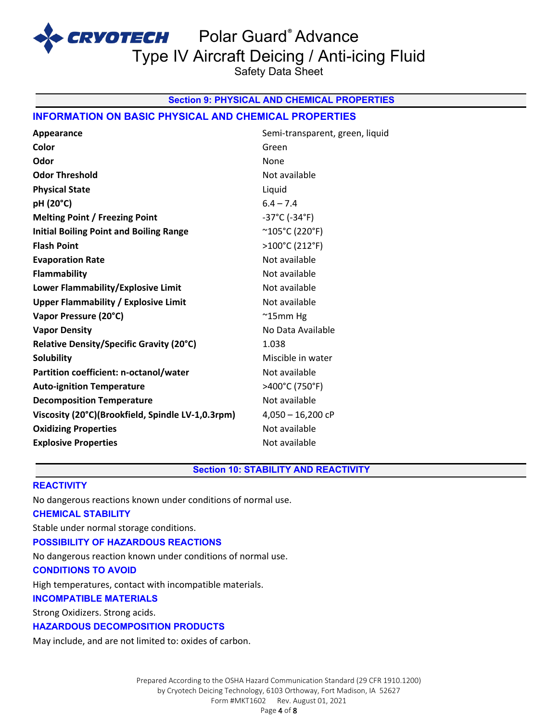CRVOTECH Polar Guard® Advance

Type IV Aircraft Deicing / Anti-icing Fluid

Safety Data Sheet

## **Section 9: PHYSICAL AND CHEMICAL PROPERTIES**

## **INFORMATION ON BASIC PHYSICAL AND CHEMICAL PROPERTIES**

| Appearance                                        | Semi-transparent, green, liquid    |
|---------------------------------------------------|------------------------------------|
| Color                                             | Green                              |
| Odor                                              | None                               |
| <b>Odor Threshold</b>                             | Not available                      |
| <b>Physical State</b>                             | Liquid                             |
| pH (20°C)                                         | $6.4 - 7.4$                        |
| <b>Melting Point / Freezing Point</b>             | $-37^{\circ}$ C ( $-34^{\circ}$ F) |
| <b>Initial Boiling Point and Boiling Range</b>    | $^{\sim}$ 105°C (220°F)            |
| <b>Flash Point</b>                                | >100°C (212°F)                     |
| <b>Evaporation Rate</b>                           | Not available                      |
| Flammability                                      | Not available                      |
| Lower Flammability/Explosive Limit                | Not available                      |
| <b>Upper Flammability / Explosive Limit</b>       | Not available                      |
| Vapor Pressure (20°C)                             | $^{\sim}$ 15mm Hg                  |
| <b>Vapor Density</b>                              | No Data Available                  |
| Relative Density/Specific Gravity (20°C)          | 1.038                              |
| <b>Solubility</b>                                 | Miscible in water                  |
| Partition coefficient: n-octanol/water            | Not available                      |
| <b>Auto-ignition Temperature</b>                  | >400°C (750°F)                     |
| <b>Decomposition Temperature</b>                  | Not available                      |
| Viscosity (20°C)(Brookfield, Spindle LV-1,0.3rpm) | $4,050 - 16,200$ cP                |
| <b>Oxidizing Properties</b>                       | Not available                      |
| <b>Explosive Properties</b>                       | Not available                      |
|                                                   |                                    |

## **Section 10: STABILITY AND REACTIVITY**

## **REACTIVITY**

No dangerous reactions known under conditions of normal use. **CHEMICAL STABILITY** Stable under normal storage conditions. **POSSIBILITY OF HAZARDOUS REACTIONS** No dangerous reaction known under conditions of normal use. **CONDITIONS TO AVOID** High temperatures, contact with incompatible materials. **INCOMPATIBLE MATERIALS** Strong Oxidizers. Strong acids.

**HAZARDOUS DECOMPOSITION PRODUCTS**

May include, and are not limited to: oxides of carbon.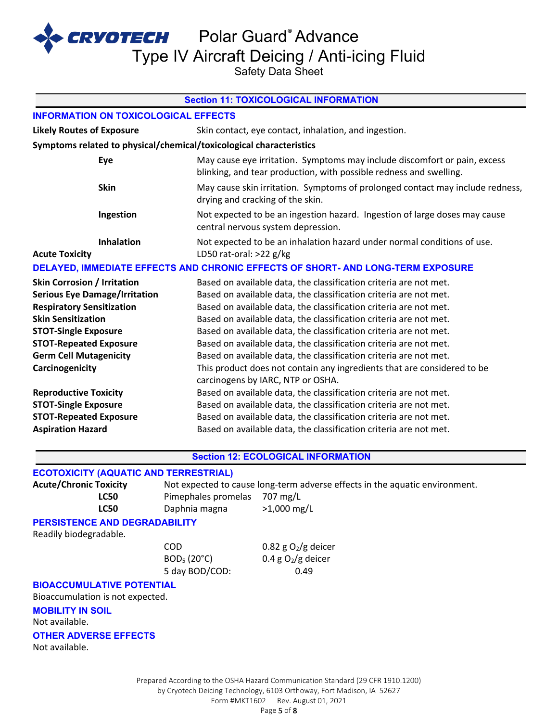**CRYOTECH** Polar Guard® Advance

Type IV Aircraft Deicing / Anti-icing Fluid

Safety Data Sheet

| <b>Section 11: TOXICOLOGICAL INFORMATION</b>                                                          |                                                                                                                                                 |  |
|-------------------------------------------------------------------------------------------------------|-------------------------------------------------------------------------------------------------------------------------------------------------|--|
| <b>INFORMATION ON TOXICOLOGICAL EFFECTS</b>                                                           |                                                                                                                                                 |  |
| <b>Likely Routes of Exposure</b>                                                                      | Skin contact, eye contact, inhalation, and ingestion.                                                                                           |  |
| Symptoms related to physical/chemical/toxicological characteristics                                   |                                                                                                                                                 |  |
| Eye                                                                                                   | May cause eye irritation. Symptoms may include discomfort or pain, excess<br>blinking, and tear production, with possible redness and swelling. |  |
| <b>Skin</b>                                                                                           | May cause skin irritation. Symptoms of prolonged contact may include redness,<br>drying and cracking of the skin.                               |  |
| Ingestion                                                                                             | Not expected to be an ingestion hazard. Ingestion of large doses may cause<br>central nervous system depression.                                |  |
| <b>Inhalation</b><br><b>Acute Toxicity</b>                                                            | Not expected to be an inhalation hazard under normal conditions of use.<br>LD50 rat-oral: $>22$ g/kg                                            |  |
| DELAYED, IMMEDIATE EFFECTS AND CHRONIC EFFECTS OF SHORT- AND LONG-TERM EXPOSURE                       |                                                                                                                                                 |  |
| <b>Skin Corrosion / Irritation</b>                                                                    | Based on available data, the classification criteria are not met.                                                                               |  |
| <b>Serious Eye Damage/Irritation</b>                                                                  | Based on available data, the classification criteria are not met.                                                                               |  |
| <b>Respiratory Sensitization</b><br>Based on available data, the classification criteria are not met. |                                                                                                                                                 |  |
| <b>Skin Sensitization</b>                                                                             | Based on available data, the classification criteria are not met.                                                                               |  |
| <b>STOT-Single Exposure</b>                                                                           | Based on available data, the classification criteria are not met.                                                                               |  |
| <b>STOT-Repeated Exposure</b>                                                                         | Based on available data, the classification criteria are not met.                                                                               |  |
| <b>Germ Cell Mutagenicity</b>                                                                         | Based on available data, the classification criteria are not met.                                                                               |  |
| Carcinogenicity                                                                                       | This product does not contain any ingredients that are considered to be<br>carcinogens by IARC, NTP or OSHA.                                    |  |
| <b>Reproductive Toxicity</b>                                                                          | Based on available data, the classification criteria are not met.                                                                               |  |
| <b>STOT-Single Exposure</b>                                                                           | Based on available data, the classification criteria are not met.                                                                               |  |
| <b>STOT-Repeated Exposure</b>                                                                         | Based on available data, the classification criteria are not met.                                                                               |  |
| <b>Aspiration Hazard</b>                                                                              | Based on available data, the classification criteria are not met.                                                                               |  |
|                                                                                                       | <b>Section 12: ECOLOGICAL INFORMATION</b>                                                                                                       |  |

## **ECOTOXICITY (AQUATIC AND TERRESTRIAL)**

| <b>Acute/Chronic Toxicity</b> | Not expected to cause long-term adverse effects in the aquatic environment. |               |
|-------------------------------|-----------------------------------------------------------------------------|---------------|
| LC50                          | Pimephales promelas 707 mg/L                                                |               |
| <b>LC50</b>                   | Daphnia magna                                                               | $>1,000$ mg/L |

## **PERSISTENCE AND DEGRADABILITY**

Readily biodegradable.

 $COD$  0.82 g O<sub>2</sub>/g deicer 5 day BOD/COD: 0.49

 $BOD<sub>5</sub> (20<sup>o</sup>C)$  0.4 g O<sub>2</sub>/g deicer

#### **BIOACCUMULATIVE POTENTIAL**

Bioaccumulation is not expected.

# **MOBILITY IN SOIL**

Not available.

#### **OTHER ADVERSE EFFECTS**

Not available.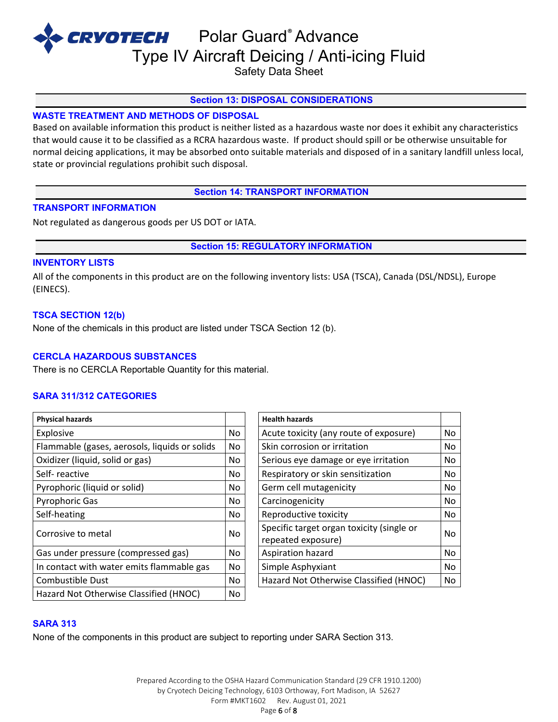Safety Data Sheet

## **Section 13: DISPOSAL CONSIDERATIONS**

# **WASTE TREATMENT AND METHODS OF DISPOSAL**

Based on available information this product is neither listed as a hazardous waste nor does it exhibit any characteristics that would cause it to be classified as a RCRA hazardous waste. If product should spill or be otherwise unsuitable for normal deicing applications, it may be absorbed onto suitable materials and disposed of in a sanitary landfill unless local, state or provincial regulations prohibit such disposal.

**Section 14: TRANSPORT INFORMATION**

## **TRANSPORT INFORMATION**

Not regulated as dangerous goods per US DOT or IATA.

**Section 15: REGULATORY INFORMATION**

## **INVENTORY LISTS**

All of the components in this product are on the following inventory lists: USA (TSCA), Canada (DSL/NDSL), Europe (EINECS).

## **TSCA SECTION 12(b)**

None of the chemicals in this product are listed under TSCA Section 12 (b).

# **CERCLA HAZARDOUS SUBSTANCES**

There is no CERCLA Reportable Quantity for this material.

# **SARA 311/312 CATEGORIES**

| <b>Physical hazards</b>                       |     | <b>Health hazards</b>                                           |    |
|-----------------------------------------------|-----|-----------------------------------------------------------------|----|
| Explosive                                     | No. | Acute toxicity (any route of exposure)                          | No |
| Flammable (gases, aerosols, liquids or solids | No. | Skin corrosion or irritation                                    | No |
| Oxidizer (liquid, solid or gas)               | No. | Serious eye damage or eye irritation                            | No |
| Self-reactive                                 | No. | Respiratory or skin sensitization                               | No |
| Pyrophoric (liquid or solid)                  | No  | Germ cell mutagenicity                                          | No |
| <b>Pyrophoric Gas</b>                         | No. | Carcinogenicity                                                 | No |
| Self-heating                                  | No. | Reproductive toxicity                                           | No |
| Corrosive to metal                            | No. | Specific target organ toxicity (single or<br>repeated exposure) | No |
| Gas under pressure (compressed gas)           | No. | Aspiration hazard                                               | No |
| In contact with water emits flammable gas     | No. | Simple Asphyxiant                                               | No |
| Combustible Dust                              | No. | Hazard Not Otherwise Classified (HNOC)                          | No |
| Hazard Not Otherwise Classified (HNOC)        | No. |                                                                 |    |
|                                               |     |                                                                 |    |

| <b>Health hazards</b>                                           |    |
|-----------------------------------------------------------------|----|
| Acute toxicity (any route of exposure)                          | No |
| Skin corrosion or irritation                                    | No |
| Serious eye damage or eye irritation                            |    |
| Respiratory or skin sensitization                               | No |
| Germ cell mutagenicity                                          | No |
| Carcinogenicity                                                 | No |
| Reproductive toxicity                                           |    |
| Specific target organ toxicity (single or<br>repeated exposure) | No |
| Aspiration hazard                                               | No |
| Simple Asphyxiant                                               | No |
| Hazard Not Otherwise Classified (HNOC)                          | No |

#### **SARA 313**

None of the components in this product are subject to reporting under SARA Section 313.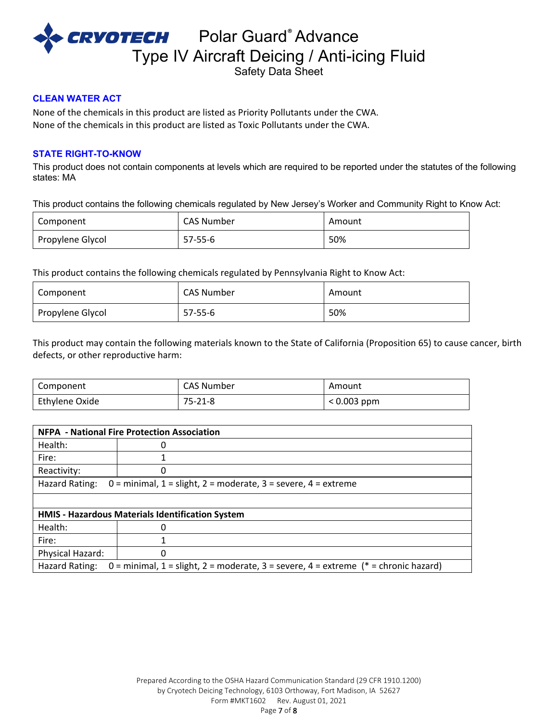

Safety Data Sheet

## **CLEAN WATER ACT**

None of the chemicals in this product are listed as Priority Pollutants under the CWA. None of the chemicals in this product are listed as Toxic Pollutants under the CWA.

#### **STATE RIGHT-TO-KNOW**

This product does not contain components at levels which are required to be reported under the statutes of the following states: MA

This product contains the following chemicals regulated by New Jersey's Worker and Community Right to Know Act:

| Component        | <b>CAS Number</b> | Amount |
|------------------|-------------------|--------|
| Propylene Glycol | $57 - 55 - 6$     | 50%    |

This product contains the following chemicals regulated by Pennsylvania Right to Know Act:

| Component        | <b>CAS Number</b> | Amount |
|------------------|-------------------|--------|
| Propylene Glycol | 57-55-6           | 50%    |

This product may contain the following materials known to the State of California (Proposition 65) to cause cancer, birth defects, or other reproductive harm:

| Component      | <b>CAS Number</b> | Amount        |
|----------------|-------------------|---------------|
| Ethylene Oxide | $75 - 21 - 8$     | $< 0.003$ ppm |

| <b>NFPA - National Fire Protection Association</b>                                                      |   |  |
|---------------------------------------------------------------------------------------------------------|---|--|
| Health:                                                                                                 | 0 |  |
| Fire:                                                                                                   |   |  |
| Reactivity:                                                                                             | Ω |  |
| Hazard Rating:<br>$0 =$ minimal, $1 =$ slight, $2 =$ moderate, $3 =$ severe, $4 =$ extreme              |   |  |
|                                                                                                         |   |  |
| HMIS - Hazardous Materials Identification System                                                        |   |  |
| Health:                                                                                                 | ŋ |  |
| Fire:                                                                                                   |   |  |
| Physical Hazard:                                                                                        | 0 |  |
| 0 = minimal, 1 = slight, 2 = moderate, 3 = severe, 4 = extreme $(* =$ chronic hazard)<br>Hazard Rating: |   |  |